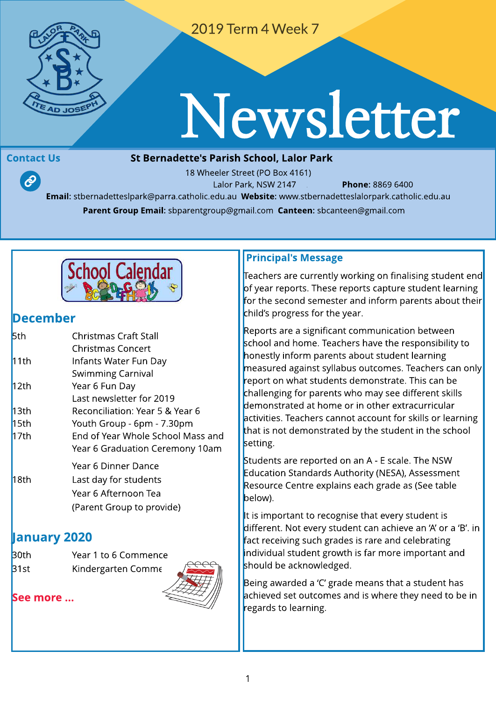

2019 Term 4 Week 7

# Newsletter

 $\mathcal{P}$ 

#### Contact Us **St Bernadette's Parish School, Lalor Park**

18 Wheeler Street (PO Box 4161) Lalor Park, NSW 2147 **Phone: 8869 6400** Email: stbernadetteslpark@parra.catholic.edu.au Website: [www.stbernadetteslalorpark.catholic.edu.au](http://www.stbernadetteslalorpark.catholic.edu.au) Parent Group Email: sbparentgroup@gmail.com Canteen: sbcanteen@gmail.com



#### Decem ber

| <b>5th</b> | <b>Christmas Craft Stall</b>      |
|------------|-----------------------------------|
|            | <b>Christmas Concert</b>          |
| 11th       | Infants Water Fun Day             |
|            | Swimming Carnival                 |
| 12th       | Year 6 Fun Day                    |
|            | Last newsletter for 2019          |
| 13th       | Reconciliation: Year 5 & Year 6   |
| 15th       | Youth Group - 6pm - 7.30pm        |
| 17th       | End of Year Whole School Mass and |
|            | Year 6 Graduation Ceremony 10am   |
|            | Year 6 Dinner Dance               |
| 18th       | Last day for students             |
|            | Year 6 Afternoon Tea              |
|            | (Parent Group to provide)         |

#### anuary 2020

| <b>B</b> 0th | Year 1 to 6 Commence |
|--------------|----------------------|
| 31st         | Kindergarten Comme   |

[See](http://www.stbernadetteslalorpark.catholic.edu.au/Current-Families/Events) m[ore](http://www.stbernadetteslalorpark.catholic.edu.au/Current-Families/Events) [...](http://www.stbernadetteslalorpark.catholic.edu.au/Current-Families/Events)



Teachers are currently working on finalising student end of year reports. These reports capture student learning for the second semester and inform parents about their child's progress for the year.

Reports are a significant communication between school and home. Teachers have the responsibility to honestly inform parents about student learning measured against syllabus outcomes. Teachers can only report on what students demonstrate. This can be challenging for parents who may see different skills demonstrated at home or in other extracurricular activities. Teachers cannot account for skills or learning that is not demonstrated by the student in the school setting.

Students are reported on an A - E scale. The NSW Education Standards Authority (NESA), Assessment Resource Centre explains each grade as (See table below).

It is important to recognise that every student is different. Not every student can achieve an 'A' or a 'B'. in fact receiving such grades is rare and celebrating individual student growth is far more important and should be acknowledged.

Being awarded a 'C' grade means that a student has achieved set outcomes and is where they need to be in regards to learning.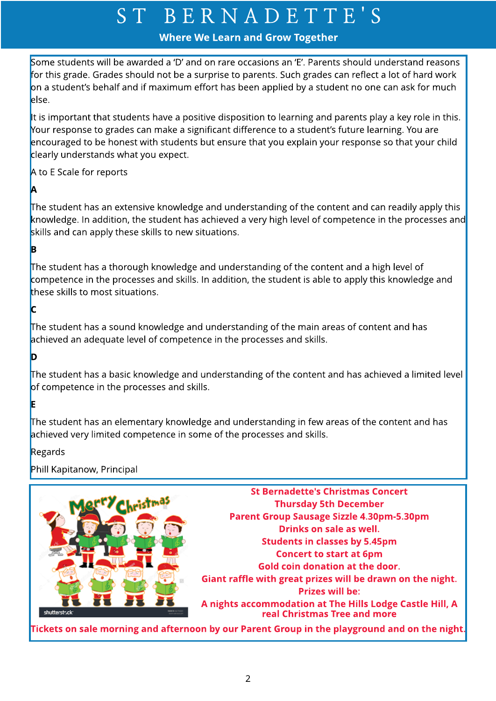#### Where We Learn and Grow Together

Some students will be awarded a 'D' and on rare occasions an 'E'. Parents should understand reasons for this grade. Grades should not be a surprise to parents. Such grades can reflect a lot of hard work on a student's behalf and if maximum effort has been applied by a student no one can ask for much else.

It is important that students have a positive disposition to learning and parents play a key role in this. Your response to grades can make a significant difference to a student's future learning. You are encouraged to be honest with students but ensure that you explain your response so that your child clearly understands what you expect.

A to E Scale for reports

The student has an extensive knowledge and understanding of the content and can readily apply this knowledge. In addition, the student has achieved a very high level of competence in the processes and skills and can apply these skills to new situations.

#### B

A

The student has a thorough knowledge and understanding of the content and a high level of competence in the processes and skills. In addition, the student is able to apply this knowledge and these skills to most situations.

#### C

The student has a sound knowledge and understanding of the main areas of content and has achieved an adequate level of competence in the processes and skills.

#### D

The student has a basic knowledge and understanding of the content and has achieved a limited level of competence in the processes and skills.

#### E

The student has an elementary knowledge and understanding in few areas of the content and has achieved very limited competence in some of the processes and skills.

#### Regards

Phill Kapitanow, Principal

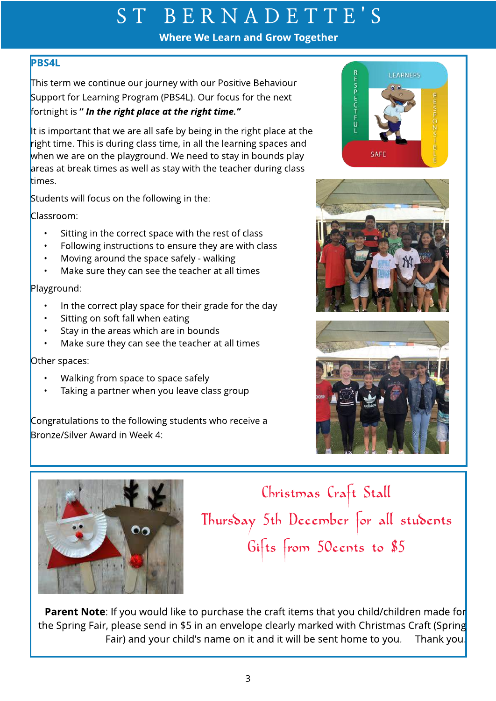Where We Learn and Grow Together

#### PBS4L

This term we continue our journey with our Positive Behaviour Support for Learning Program (PBS4L). Our focus for the next fortnight is ? **In the right place at the right time.?**

It is important that we are all safe by being in the right place at the right time. This is during class time, in all the learning spaces and when we are on the playground. We need to stay in bounds play areas at break times as well as stay with the teacher during class times.

Students will focus on the following in the:

Classroom:

- Sitting in the correct space with the rest of class
- Following instructions to ensure they are with class
- Moving around the space safely walking
- Make sure they can see the teacher at all times

Playground:

- In the correct play space for their grade for the day
- Sitting on soft fall when eating
- Stay in the areas which are in bounds
- Make sure they can see the teacher at all times

Other spaces:

- Walking from space to space safely
- Taking a partner when you leave class group

Congratulations to the following students who receive a Bronze/Silver Award in Week 4:











Christmas Craft Stall Thursday 5th December for all students Gifts from 50cents to \$5

**Parent Note:** If you would like to purchase the craft items that you child/children made for the Spring Fair, please send in \$5 in an envelope clearly marked with Christmas Craft (Spring Fair) and your child's name on it and it will be sent home to you. Thank you.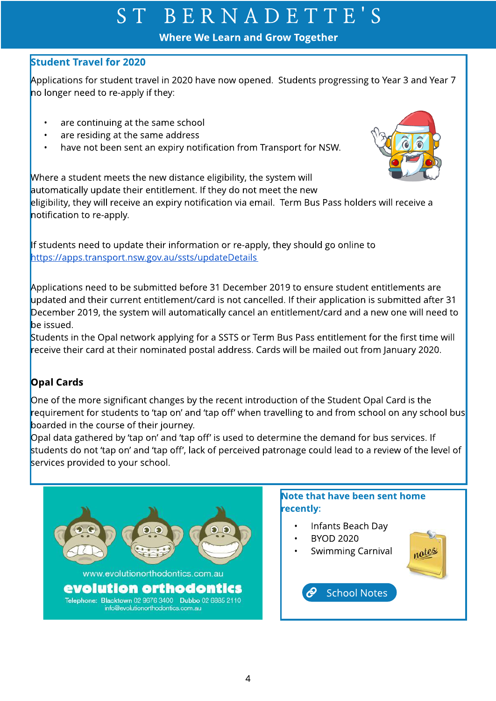Where We Learn and Grow Together

#### **Student Travel for 2020**

Applications for student travel in 2020 have now opened. Students progressing to Year 3 and Year 7 no longer need to re-apply if they:

- are continuing at the same school
- are residing at the same address
- have not been sent an expiry notification from Transport for NSW.



Where a student meets the new distance eligibility, the system will automatically update their entitlement. If they do not meet the new

eligibility, they will receive an expiry notification via email. Term Bus Pass holders will receive a notification to re-apply.

If students need to update their information or re-apply, they should go online to [https://apps.transport.nsw.gov.au/ssts/updateDetails](https://apps.transport.nsw.gove.au/ssts/updateDetails)

Applications need to be submitted before 31 December 2019 to ensure student entitlements are updated and their current entitlement/card is not cancelled. If their application is submitted after 31 December 2019, the system will automatically cancel an entitlement/card and a new one will need to be issued.

Students in the Opal network applying for a SSTS or Term Bus Pass entitlement for the first time will receive their card at their nominated postal address. Cards will be mailed out from January 2020.

#### Opal Cards

One of the more significant changes by the recent introduction of the Student Opal Card is the  $r$ equirement for students to 'tap on' and 'tap off' when travelling to and from school on any school bus $\overline{r}$ boarded in the course of their journey.

Opal data gathered by 'tap on' and 'tap off' is used to determine the demand for bus services. If students do not 'tap on' and 'tap off', lack of perceived patronage could lead to a review of the level of services provided to your school.

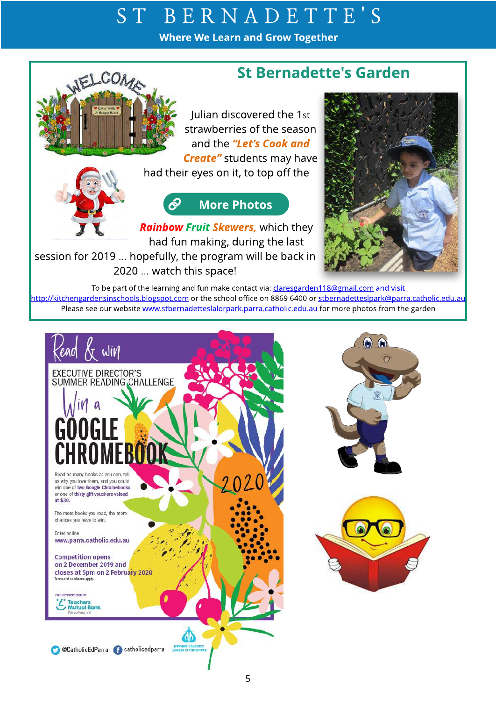Where We Learn and Grow Together

#### St Bernadette's Garden

Julian discovered the 1st strawberries of the season and the **?Let?s Cook and Create"** students may have



RELCOM

#### ල **[More](http://scprod.stbernadetteslalorpark.catholic.edu.au/Current-Families/Gallery) Photos**

had their eyes on it, to top off the

**Rainbow Fruit Skewers,** which they had fun making, during the last

session for 2019 ... hopefully, the program will be back in 2020 ... watch this space!



To be part of the learning and fun make contact via: claresgarden118@gmail.com and visit <http://kitchengardensinschools.blogspot.com> or the school office on 8869 6400 or stbernadetteslpark@parra.catholic.edu.au Please see our website [www.stbernadetteslalorpark.parra.catholic.edu.au](http://www.stbernadetteslpark.parra.catholic.edu.au) for more photos from the garden



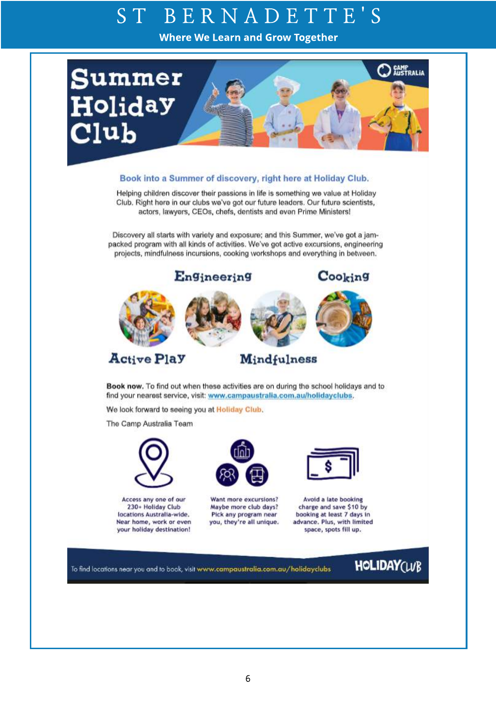Where We Learn and Grow Together



#### Book into a Summer of discovery, right here at Holiday Club.

Helping children discover their passions in life is something we value at Holiday Club. Right here in our clubs we've got our future leaders. Our future scientists, actors, lawyers, CEOs, chefs, dentists and even Prime Ministers!

Discovery all starts with variety and exposure; and this Summer, we've got a jampacked program with all kinds of activities. We've got active excursions, engineering projects, mindfulness incursions, cooking workshops and everything in between.



Book now. To find out when these activities are on during the school holidays and to find your nearest service, visit: www.campaustralia.com.au/holidayclubs.

We look forward to seeing you at Holiday Club.

The Camp Australia Team



Access any one of our 230+ Holiday Club locations Australia-wide. Near home, work or even your holiday destination!



Want more excursions? Maybe more club days? Pick any program near you, they're all unique.



Avoid a late booking charge and save \$10 by booking at least 7 days in advance. Plus, with limited space, spots fill up.

To find locations near you and to book, visit www.campaustralia.com.au/holidayclubs

### **HOLIDAY(WB**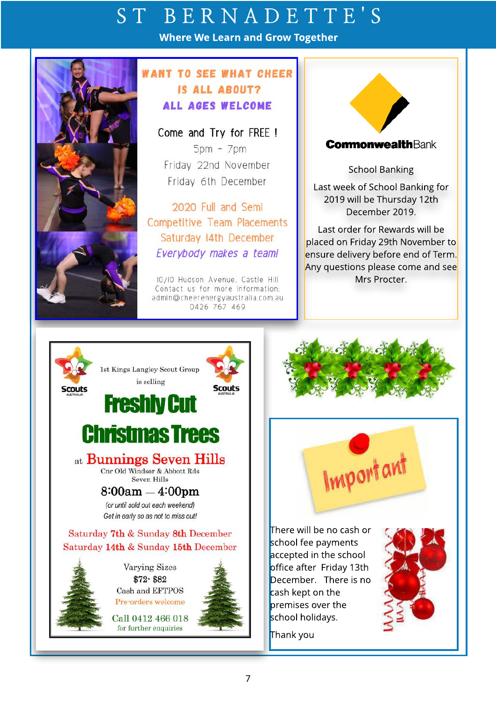Where We Learn and Grow Together



#### **WANT TO SEE WHAT CHEER** IS ALL ABOUT? ALL AGES WELCOME

Come and Try for FREE !  $5pm - 7pm$ Friday 22nd November Friday 6th December

2020 Full and Semi **Competitive Team Placements** Saturday 14th December Everybody makes a team!

10/10 Hudson Avenue. Castle Hill Contact us for more information: admin@cheerenergyaustralia.com.au 0426 767 469



School Banking

Last week of School Banking for 2019 will be Thursday 12th December 2019.

Last order for Rewards will be placed on Friday 29th November to ensure delivery before end of Term. Any questions please come and see Mrs Procter.



Important

There will be no cash or school fee payments accepted in the school office after Friday 13th December. There is no cash kept on the premises over the school holidays.



Thank you